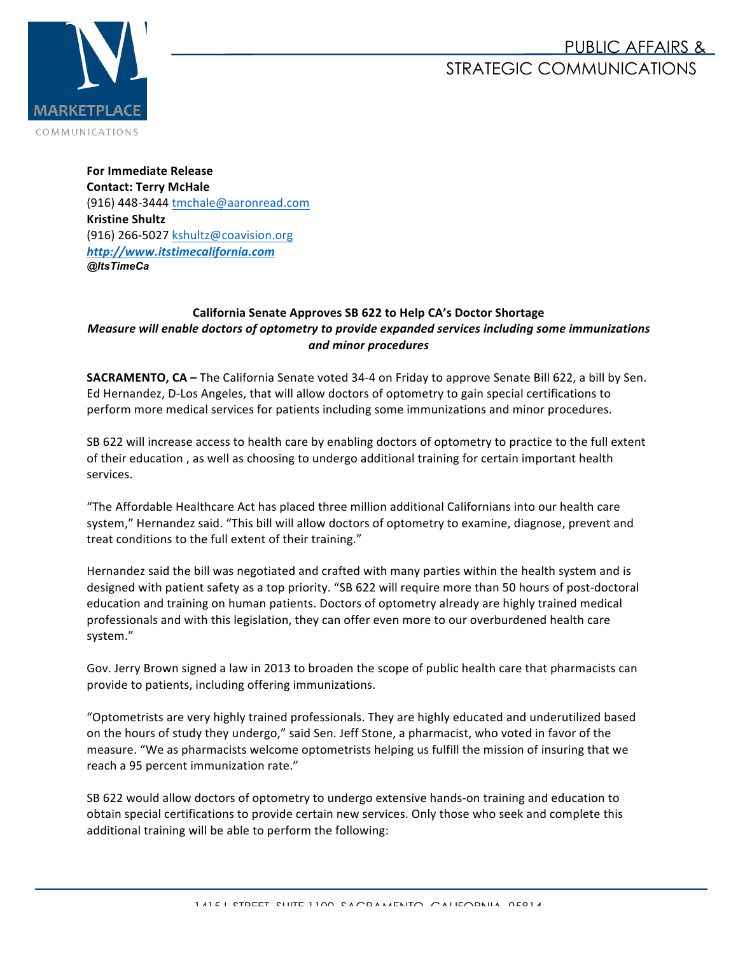## PUBLIC AFFAIRS & STRATEGIC COMMUNICATIONS



**For Immediate Release Contact: Terry McHale** (916) 448-3444 tmchale@aaronread.com **Kristine Shultz** (916) 266-5027 kshultz@coavision.org *http://www.itstimecalifornia.com @ItsTimeCa*

## **California Senate Approves SB 622 to Help CA's Doctor Shortage** *Measure will enable doctors of optometry to provide expanded services including some immunizations and minor procedures*

**SACRAMENTO, CA** – The California Senate voted 34-4 on Friday to approve Senate Bill 622, a bill by Sen. Ed Hernandez, D-Los Angeles, that will allow doctors of optometry to gain special certifications to perform more medical services for patients including some immunizations and minor procedures.

SB 622 will increase access to health care by enabling doctors of optometry to practice to the full extent of their education, as well as choosing to undergo additional training for certain important health services. 

"The Affordable Healthcare Act has placed three million additional Californians into our health care system," Hernandez said. "This bill will allow doctors of optometry to examine, diagnose, prevent and treat conditions to the full extent of their training."

Hernandez said the bill was negotiated and crafted with many parties within the health system and is designed with patient safety as a top priority. "SB 622 will require more than 50 hours of post-doctoral education and training on human patients. Doctors of optometry already are highly trained medical professionals and with this legislation, they can offer even more to our overburdened health care system."

Gov. Jerry Brown signed a law in 2013 to broaden the scope of public health care that pharmacists can provide to patients, including offering immunizations.

"Optometrists are very highly trained professionals. They are highly educated and underutilized based on the hours of study they undergo," said Sen. Jeff Stone, a pharmacist, who voted in favor of the measure. "We as pharmacists welcome optometrists helping us fulfill the mission of insuring that we reach a 95 percent immunization rate."

SB 622 would allow doctors of optometry to undergo extensive hands-on training and education to obtain special certifications to provide certain new services. Only those who seek and complete this additional training will be able to perform the following: